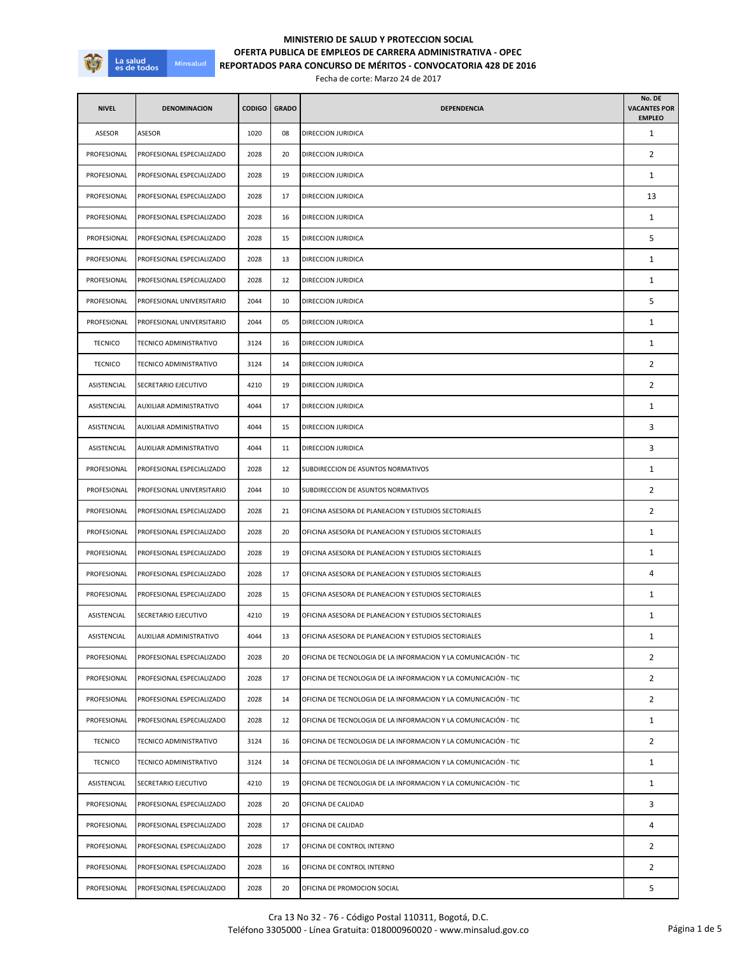

## **OFERTA PUBLICA DE EMPLEOS DE CARRERA ADMINISTRATIVA - OPEC REPORTADOS PARA CONCURSO DE MÉRITOS - CONVOCATORIA 428 DE 2016 MINISTERIO DE SALUD Y PROTECCION SOCIAL**

Fecha de corte: Marzo 24 de 2017

| <b>NIVEL</b>   | <b>DENOMINACION</b>       | CODIGO | <b>GRADO</b> | <b>DEPENDENCIA</b>                                              | No. DE<br><b>VACANTES POR</b><br><b>EMPLEO</b> |
|----------------|---------------------------|--------|--------------|-----------------------------------------------------------------|------------------------------------------------|
| ASESOR         | ASESOR                    | 1020   | 08           | DIRECCION JURIDICA                                              | 1                                              |
| PROFESIONAL    | PROFESIONAL ESPECIALIZADO | 2028   | 20           | DIRECCION JURIDICA                                              | 2                                              |
| PROFESIONAL    | PROFESIONAL ESPECIALIZADO | 2028   | 19           | DIRECCION JURIDICA                                              | $\mathbf{1}$                                   |
| PROFESIONAL    | PROFESIONAL ESPECIALIZADO | 2028   | 17           | DIRECCION JURIDICA                                              | 13                                             |
| PROFESIONAL    | PROFESIONAL ESPECIALIZADO | 2028   | 16           | DIRECCION JURIDICA                                              | $\mathbf{1}$                                   |
| PROFESIONAL    | PROFESIONAL ESPECIALIZADO | 2028   | 15           | DIRECCION JURIDICA                                              | 5                                              |
| PROFESIONAL    | PROFESIONAL ESPECIALIZADO | 2028   | 13           | DIRECCION JURIDICA                                              | 1                                              |
| PROFESIONAL    | PROFESIONAL ESPECIALIZADO | 2028   | 12           | DIRECCION JURIDICA                                              | 1                                              |
| PROFESIONAL    | PROFESIONAL UNIVERSITARIO | 2044   | 10           | DIRECCION JURIDICA                                              | 5                                              |
| PROFESIONAL    | PROFESIONAL UNIVERSITARIO | 2044   | 05           | DIRECCION JURIDICA                                              | 1                                              |
| <b>TECNICO</b> | TECNICO ADMINISTRATIVO    | 3124   | 16           | DIRECCION JURIDICA                                              | $\mathbf{1}$                                   |
| <b>TECNICO</b> | TECNICO ADMINISTRATIVO    | 3124   | 14           | DIRECCION JURIDICA                                              | 2                                              |
| ASISTENCIAL    | SECRETARIO EJECUTIVO      | 4210   | 19           | DIRECCION JURIDICA                                              | $\overline{2}$                                 |
| ASISTENCIAL    | AUXILIAR ADMINISTRATIVO   | 4044   | 17           | DIRECCION JURIDICA                                              | $\mathbf{1}$                                   |
| ASISTENCIAL    | AUXILIAR ADMINISTRATIVO   | 4044   | 15           | DIRECCION JURIDICA                                              | 3                                              |
| ASISTENCIAL    | AUXILIAR ADMINISTRATIVO   | 4044   | 11           | DIRECCION JURIDICA                                              | 3                                              |
| PROFESIONAL    | PROFESIONAL ESPECIALIZADO | 2028   | 12           | SUBDIRECCION DE ASUNTOS NORMATIVOS                              | 1                                              |
| PROFESIONAL    | PROFESIONAL UNIVERSITARIO | 2044   | 10           | SUBDIRECCION DE ASUNTOS NORMATIVOS                              | $\overline{2}$                                 |
| PROFESIONAL    | PROFESIONAL ESPECIALIZADO | 2028   | 21           | OFICINA ASESORA DE PLANEACION Y ESTUDIOS SECTORIALES            | $\overline{2}$                                 |
| PROFESIONAL    | PROFESIONAL ESPECIALIZADO | 2028   | 20           | OFICINA ASESORA DE PLANEACION Y ESTUDIOS SECTORIALES            | 1                                              |
| PROFESIONAL    | PROFESIONAL ESPECIALIZADO | 2028   | 19           | OFICINA ASESORA DE PLANEACION Y ESTUDIOS SECTORIALES            | $\mathbf{1}$                                   |
| PROFESIONAL    | PROFESIONAL ESPECIALIZADO | 2028   | 17           | OFICINA ASESORA DE PLANEACION Y ESTUDIOS SECTORIALES            | 4                                              |
| PROFESIONAL    | PROFESIONAL ESPECIALIZADO | 2028   | 15           | OFICINA ASESORA DE PLANEACION Y ESTUDIOS SECTORIALES            | 1                                              |
| ASISTENCIAL    | SECRETARIO EJECUTIVO      | 4210   | 19           | OFICINA ASESORA DE PLANEACION Y ESTUDIOS SECTORIALES            | $\mathbf{1}$                                   |
| ASISTENCIAL    | AUXILIAR ADMINISTRATIVO   | 4044   |              | OFICINA ASESORA DE PLANEACION Y ESTUDIOS SECTORIALES            |                                                |
| PROFESIONAL    | PROFESIONAL ESPECIALIZADO | 2028   | 20           | OFICINA DE TECNOLOGIA DE LA INFORMACION Y LA COMUNICACIÓN - TIC | $\overline{2}$                                 |
| PROFESIONAL    | PROFESIONAL ESPECIALIZADO | 2028   | 17           | OFICINA DE TECNOLOGIA DE LA INFORMACION Y LA COMUNICACIÓN - TIC | 2                                              |
| PROFESIONAL    | PROFESIONAL ESPECIALIZADO | 2028   | 14           | OFICINA DE TECNOLOGIA DE LA INFORMACION Y LA COMUNICACIÓN - TIC | $\overline{2}$                                 |
| PROFESIONAL    | PROFESIONAL ESPECIALIZADO | 2028   | 12           | OFICINA DE TECNOLOGIA DE LA INFORMACION Y LA COMUNICACIÓN - TIC | $\mathbf{1}$                                   |
| <b>TECNICO</b> | TECNICO ADMINISTRATIVO    | 3124   | 16           | OFICINA DE TECNOLOGIA DE LA INFORMACION Y LA COMUNICACIÓN - TIC | $\overline{2}$                                 |
| <b>TECNICO</b> | TECNICO ADMINISTRATIVO    | 3124   | 14           | OFICINA DE TECNOLOGIA DE LA INFORMACION Y LA COMUNICACIÓN - TIC | $\mathbf{1}$                                   |
| ASISTENCIAL    | SECRETARIO EJECUTIVO      | 4210   | 19           | OFICINA DE TECNOLOGIA DE LA INFORMACION Y LA COMUNICACIÓN - TIC | $\mathbf{1}$                                   |
| PROFESIONAL    | PROFESIONAL ESPECIALIZADO | 2028   | 20           | OFICINA DE CALIDAD                                              | 3                                              |
| PROFESIONAL    | PROFESIONAL ESPECIALIZADO | 2028   | 17           | OFICINA DE CALIDAD                                              | 4                                              |
| PROFESIONAL    | PROFESIONAL ESPECIALIZADO | 2028   | 17           | OFICINA DE CONTROL INTERNO                                      | $\overline{2}$                                 |
| PROFESIONAL    | PROFESIONAL ESPECIALIZADO | 2028   | 16           | OFICINA DE CONTROL INTERNO                                      | $\overline{2}$                                 |
| PROFESIONAL    | PROFESIONAL ESPECIALIZADO | 2028   | 20           | OFICINA DE PROMOCION SOCIAL                                     | 5                                              |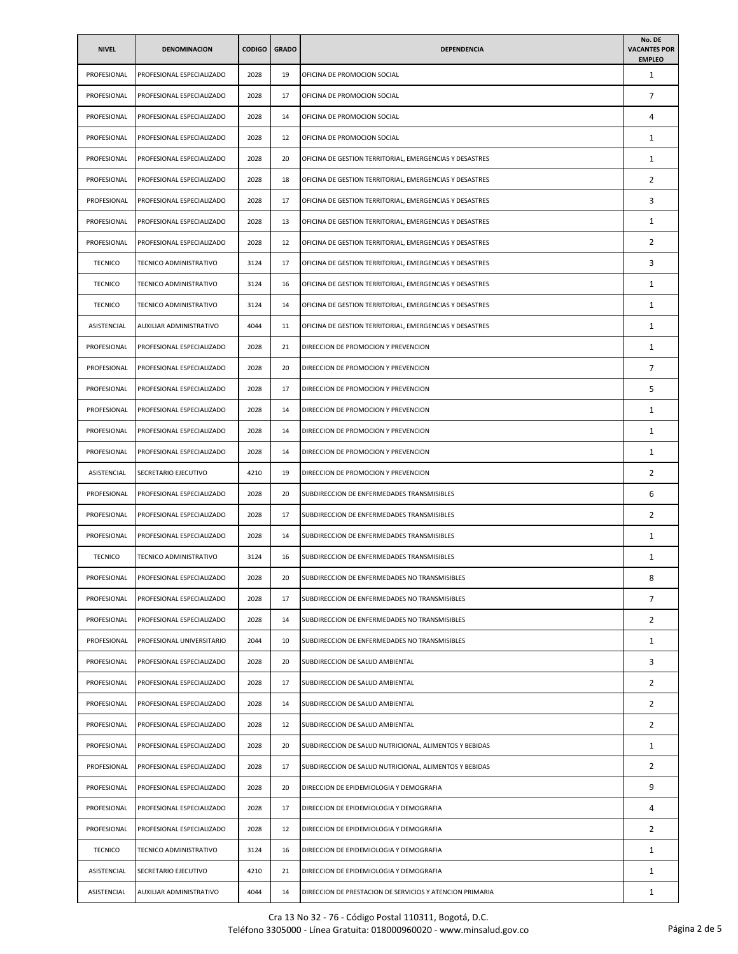| <b>NIVEL</b>   | <b>DENOMINACION</b>       | <b>CODIGO</b> | <b>GRADO</b> | <b>DEPENDENCIA</b>                                       | No. DE<br><b>VACANTES POR</b><br><b>EMPLEO</b> |
|----------------|---------------------------|---------------|--------------|----------------------------------------------------------|------------------------------------------------|
| PROFESIONAL    | PROFESIONAL ESPECIALIZADO | 2028          | 19           | OFICINA DE PROMOCION SOCIAL                              | $\mathbf{1}$                                   |
| PROFESIONAL    | PROFESIONAL ESPECIALIZADO | 2028          | 17           | OFICINA DE PROMOCION SOCIAL                              | 7                                              |
| PROFESIONAL    | PROFESIONAL ESPECIALIZADO | 2028          | 14           | OFICINA DE PROMOCION SOCIAL                              | 4                                              |
| PROFESIONAL    | PROFESIONAL ESPECIALIZADO | 2028          | 12           | OFICINA DE PROMOCION SOCIAL                              | $\mathbf{1}$                                   |
| PROFESIONAL    | PROFESIONAL ESPECIALIZADO | 2028          | 20           | OFICINA DE GESTION TERRITORIAL, EMERGENCIAS Y DESASTRES  | $\mathbf{1}$                                   |
| PROFESIONAL    | PROFESIONAL ESPECIALIZADO | 2028          | 18           | OFICINA DE GESTION TERRITORIAL, EMERGENCIAS Y DESASTRES  | 2                                              |
| PROFESIONAL    | PROFESIONAL ESPECIALIZADO | 2028          | 17           | OFICINA DE GESTION TERRITORIAL, EMERGENCIAS Y DESASTRES  | 3                                              |
| PROFESIONAL    | PROFESIONAL ESPECIALIZADO | 2028          | 13           | OFICINA DE GESTION TERRITORIAL, EMERGENCIAS Y DESASTRES  | $\mathbf{1}$                                   |
| PROFESIONAL    | PROFESIONAL ESPECIALIZADO | 2028          | 12           | OFICINA DE GESTION TERRITORIAL, EMERGENCIAS Y DESASTRES  | 2                                              |
| <b>TECNICO</b> | TECNICO ADMINISTRATIVO    | 3124          | 17           | OFICINA DE GESTION TERRITORIAL, EMERGENCIAS Y DESASTRES  | 3                                              |
| <b>TECNICO</b> | TECNICO ADMINISTRATIVO    | 3124          | 16           | OFICINA DE GESTION TERRITORIAL, EMERGENCIAS Y DESASTRES  | $\mathbf{1}$                                   |
| <b>TECNICO</b> | TECNICO ADMINISTRATIVO    | 3124          | 14           | OFICINA DE GESTION TERRITORIAL, EMERGENCIAS Y DESASTRES  | $\mathbf{1}$                                   |
| ASISTENCIAL    | AUXILIAR ADMINISTRATIVO   | 4044          | 11           | OFICINA DE GESTION TERRITORIAL, EMERGENCIAS Y DESASTRES  | $\mathbf{1}$                                   |
| PROFESIONAL    | PROFESIONAL ESPECIALIZADO | 2028          | 21           | DIRECCION DE PROMOCION Y PREVENCION                      | $\mathbf{1}$                                   |
| PROFESIONAL    | PROFESIONAL ESPECIALIZADO | 2028          | 20           | DIRECCION DE PROMOCION Y PREVENCION                      | 7                                              |
| PROFESIONAL    | PROFESIONAL ESPECIALIZADO | 2028          | 17           | DIRECCION DE PROMOCION Y PREVENCION                      | 5                                              |
| PROFESIONAL    | PROFESIONAL ESPECIALIZADO | 2028          | 14           | DIRECCION DE PROMOCION Y PREVENCION                      | $\mathbf{1}$                                   |
| PROFESIONAL    | PROFESIONAL ESPECIALIZADO | 2028          | 14           | DIRECCION DE PROMOCION Y PREVENCION                      | $\mathbf{1}$                                   |
| PROFESIONAL    | PROFESIONAL ESPECIALIZADO | 2028          | 14           | DIRECCION DE PROMOCION Y PREVENCION                      | 1                                              |
| ASISTENCIAL    | SECRETARIO EJECUTIVO      | 4210          | 19           | DIRECCION DE PROMOCION Y PREVENCION                      | 2                                              |
| PROFESIONAL    | PROFESIONAL ESPECIALIZADO | 2028          | 20           | SUBDIRECCION DE ENFERMEDADES TRANSMISIBLES               | 6                                              |
| PROFESIONAL    | PROFESIONAL ESPECIALIZADO | 2028          | 17           | SUBDIRECCION DE ENFERMEDADES TRANSMISIBLES               | $\overline{2}$                                 |
| PROFESIONAL    | PROFESIONAL ESPECIALIZADO | 2028          | 14           | SUBDIRECCION DE ENFERMEDADES TRANSMISIBLES               | 1                                              |
| <b>TECNICO</b> | TECNICO ADMINISTRATIVO    | 3124          | 16           | SUBDIRECCION DE ENFERMEDADES TRANSMISIBLES               | $\mathbf{1}$                                   |
| PROFESIONAL    | PROFESIONAL ESPECIALIZADO | 2028          | 20           | SUBDIRECCION DE ENFERMEDADES NO TRANSMISIBLES            | 8                                              |
| PROFESIONAL    | PROFESIONAL ESPECIALIZADO | 2028          | 17           | SUBDIRECCION DE ENFERMEDADES NO TRANSMISIBLES            | 7                                              |
| PROFESIONAL    | PROFESIONAL ESPECIALIZADO | 2028          | 14           | SUBDIRECCION DE ENFERMEDADES NO TRANSMISIBLES            | 2                                              |
| PROFESIONAL    | PROFESIONAL UNIVERSITARIO | 2044          | 10           | SUBDIRECCION DE ENFERMEDADES NO TRANSMISIBLES            | $\mathbf{1}$                                   |
| PROFESIONAL    | PROFESIONAL ESPECIALIZADO | 2028          | 20           | SUBDIRECCION DE SALUD AMBIENTAL                          | 3                                              |
| PROFESIONAL    | PROFESIONAL ESPECIALIZADO | 2028          | 17           | SUBDIRECCION DE SALUD AMBIENTAL                          | $\overline{2}$                                 |
| PROFESIONAL    | PROFESIONAL ESPECIALIZADO | 2028          | 14           | SUBDIRECCION DE SALUD AMBIENTAL                          | 2                                              |
| PROFESIONAL    | PROFESIONAL ESPECIALIZADO | 2028          | 12           | SUBDIRECCION DE SALUD AMBIENTAL                          | $\overline{2}$                                 |
| PROFESIONAL    | PROFESIONAL ESPECIALIZADO | 2028          | 20           | SUBDIRECCION DE SALUD NUTRICIONAL, ALIMENTOS Y BEBIDAS   | $\mathbf{1}$                                   |
| PROFESIONAL    | PROFESIONAL ESPECIALIZADO | 2028          | 17           | SUBDIRECCION DE SALUD NUTRICIONAL, ALIMENTOS Y BEBIDAS   | 2                                              |
| PROFESIONAL    | PROFESIONAL ESPECIALIZADO | 2028          | 20           | DIRECCION DE EPIDEMIOLOGIA Y DEMOGRAFIA                  | 9                                              |
| PROFESIONAL    | PROFESIONAL ESPECIALIZADO | 2028          | 17           | DIRECCION DE EPIDEMIOLOGIA Y DEMOGRAFIA                  | 4                                              |
| PROFESIONAL    | PROFESIONAL ESPECIALIZADO | 2028          | 12           | DIRECCION DE EPIDEMIOLOGIA Y DEMOGRAFIA                  | 2                                              |
| <b>TECNICO</b> | TECNICO ADMINISTRATIVO    | 3124          | 16           | DIRECCION DE EPIDEMIOLOGIA Y DEMOGRAFIA                  | $\mathbf{1}$                                   |
| ASISTENCIAL    | SECRETARIO EJECUTIVO      | 4210          | 21           | DIRECCION DE EPIDEMIOLOGIA Y DEMOGRAFIA                  | $\mathbf{1}$                                   |
| ASISTENCIAL    | AUXILIAR ADMINISTRATIVO   | 4044          | 14           | DIRECCION DE PRESTACION DE SERVICIOS Y ATENCION PRIMARIA | $\mathbf{1}$                                   |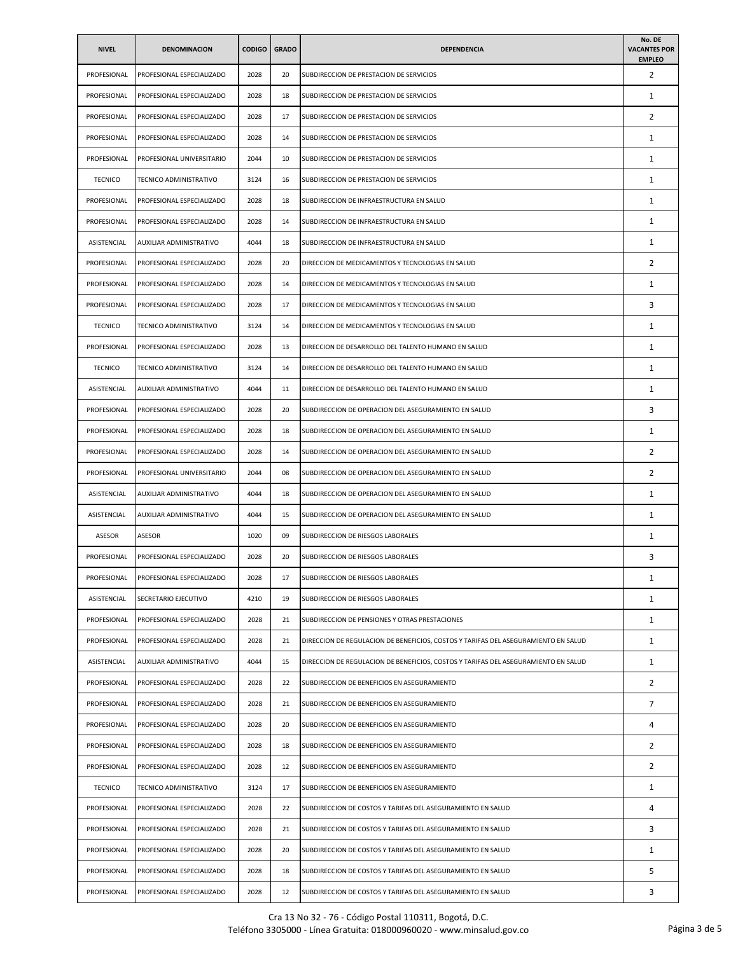| <b>NIVEL</b>   | <b>DENOMINACION</b>       | <b>CODIGO</b> | <b>GRADO</b> | <b>DEPENDENCIA</b>                                                                 | No. DE<br><b>VACANTES POR</b><br><b>EMPLEO</b> |
|----------------|---------------------------|---------------|--------------|------------------------------------------------------------------------------------|------------------------------------------------|
| PROFESIONAL    | PROFESIONAL ESPECIALIZADO | 2028          | 20           | SUBDIRECCION DE PRESTACION DE SERVICIOS                                            | 2                                              |
| PROFESIONAL    | PROFESIONAL ESPECIALIZADO | 2028          | 18           | SUBDIRECCION DE PRESTACION DE SERVICIOS                                            | 1                                              |
| PROFESIONAL    | PROFESIONAL ESPECIALIZADO | 2028          | 17           | SUBDIRECCION DE PRESTACION DE SERVICIOS                                            | 2                                              |
| PROFESIONAL    | PROFESIONAL ESPECIALIZADO | 2028          | 14           | SUBDIRECCION DE PRESTACION DE SERVICIOS                                            | 1                                              |
| PROFESIONAL    | PROFESIONAL UNIVERSITARIO | 2044          | 10           | SUBDIRECCION DE PRESTACION DE SERVICIOS                                            | $\mathbf{1}$                                   |
| <b>TECNICO</b> | TECNICO ADMINISTRATIVO    | 3124          | 16           | SUBDIRECCION DE PRESTACION DE SERVICIOS                                            | 1                                              |
| PROFESIONAL    | PROFESIONAL ESPECIALIZADO | 2028          | 18           | SUBDIRECCION DE INFRAESTRUCTURA EN SALUD                                           | $\mathbf{1}$                                   |
| PROFESIONAL    | PROFESIONAL ESPECIALIZADO | 2028          | 14           | SUBDIRECCION DE INFRAESTRUCTURA EN SALUD                                           | 1                                              |
| ASISTENCIAL    | AUXILIAR ADMINISTRATIVO   | 4044          | 18           | SUBDIRECCION DE INFRAESTRUCTURA EN SALUD                                           | 1                                              |
| PROFESIONAL    | PROFESIONAL ESPECIALIZADO | 2028          | 20           | DIRECCION DE MEDICAMENTOS Y TECNOLOGIAS EN SALUD                                   | 2                                              |
| PROFESIONAL    | PROFESIONAL ESPECIALIZADO | 2028          | 14           | DIRECCION DE MEDICAMENTOS Y TECNOLOGIAS EN SALUD                                   | 1                                              |
| PROFESIONAL    | PROFESIONAL ESPECIALIZADO | 2028          | 17           | DIRECCION DE MEDICAMENTOS Y TECNOLOGIAS EN SALUD                                   | 3                                              |
| <b>TECNICO</b> | TECNICO ADMINISTRATIVO    | 3124          | 14           | DIRECCION DE MEDICAMENTOS Y TECNOLOGIAS EN SALUD                                   | 1                                              |
| PROFESIONAL    | PROFESIONAL ESPECIALIZADO | 2028          | 13           | DIRECCION DE DESARROLLO DEL TALENTO HUMANO EN SALUD                                | 1                                              |
| <b>TECNICO</b> | TECNICO ADMINISTRATIVO    | 3124          | 14           | DIRECCION DE DESARROLLO DEL TALENTO HUMANO EN SALUD                                | $\mathbf{1}$                                   |
| ASISTENCIAL    | AUXILIAR ADMINISTRATIVO   | 4044          | 11           | DIRECCION DE DESARROLLO DEL TALENTO HUMANO EN SALUD                                | 1                                              |
| PROFESIONAL    | PROFESIONAL ESPECIALIZADO | 2028          | 20           | SUBDIRECCION DE OPERACION DEL ASEGURAMIENTO EN SALUD                               | 3                                              |
| PROFESIONAL    | PROFESIONAL ESPECIALIZADO | 2028          | 18           | SUBDIRECCION DE OPERACION DEL ASEGURAMIENTO EN SALUD                               | 1                                              |
| PROFESIONAL    | PROFESIONAL ESPECIALIZADO | 2028          | 14           | SUBDIRECCION DE OPERACION DEL ASEGURAMIENTO EN SALUD                               | $\overline{2}$                                 |
| PROFESIONAL    | PROFESIONAL UNIVERSITARIO | 2044          | 08           | SUBDIRECCION DE OPERACION DEL ASEGURAMIENTO EN SALUD                               | $\overline{2}$                                 |
| ASISTENCIAL    | AUXILIAR ADMINISTRATIVO   | 4044          | 18           | SUBDIRECCION DE OPERACION DEL ASEGURAMIENTO EN SALUD                               | 1                                              |
| ASISTENCIAL    | AUXILIAR ADMINISTRATIVO   | 4044          | 15           | SUBDIRECCION DE OPERACION DEL ASEGURAMIENTO EN SALUD                               | $\mathbf{1}$                                   |
| ASESOR         | ASESOR                    | 1020          | 09           | SUBDIRECCION DE RIESGOS LABORALES                                                  | 1                                              |
| PROFESIONAL    | PROFESIONAL ESPECIALIZADO | 2028          | 20           | SUBDIRECCION DE RIESGOS LABORALES                                                  | 3                                              |
| PROFESIONAL    | PROFESIONAL ESPECIALIZADO | 2028          |              | SUBDIRECCION DE RIESGOS LABORALES                                                  | 1                                              |
| ASISTENCIAL    | SECRETARIO EJECUTIVO      | 4210          | 19           | SUBDIRECCION DE RIESGOS LABORALES                                                  | $\mathbf{1}$                                   |
| PROFESIONAL    | PROFESIONAL ESPECIALIZADO | 2028          | 21           | SUBDIRECCION DE PENSIONES Y OTRAS PRESTACIONES                                     | $\mathbf{1}$                                   |
| PROFESIONAL    | PROFESIONAL ESPECIALIZADO | 2028          | 21           | DIRECCION DE REGULACION DE BENEFICIOS, COSTOS Y TARIFAS DEL ASEGURAMIENTO EN SALUD | 1                                              |
| ASISTENCIAL    | AUXILIAR ADMINISTRATIVO   | 4044          | 15           | DIRECCION DE REGULACION DE BENEFICIOS, COSTOS Y TARIFAS DEL ASEGURAMIENTO EN SALUD | 1                                              |
| PROFESIONAL    | PROFESIONAL ESPECIALIZADO | 2028          | 22           | SUBDIRECCION DE BENEFICIOS EN ASEGURAMIENTO                                        | 2                                              |
| PROFESIONAL    | PROFESIONAL ESPECIALIZADO | 2028          | 21           | SUBDIRECCION DE BENEFICIOS EN ASEGURAMIENTO                                        | $\overline{7}$                                 |
| PROFESIONAL    | PROFESIONAL ESPECIALIZADO | 2028          | 20           | SUBDIRECCION DE BENEFICIOS EN ASEGURAMIENTO                                        | 4                                              |
| PROFESIONAL    | PROFESIONAL ESPECIALIZADO | 2028          | 18           | SUBDIRECCION DE BENEFICIOS EN ASEGURAMIENTO                                        | 2                                              |
| PROFESIONAL    | PROFESIONAL ESPECIALIZADO | 2028          | 12           | SUBDIRECCION DE BENEFICIOS EN ASEGURAMIENTO                                        | 2                                              |
| <b>TECNICO</b> | TECNICO ADMINISTRATIVO    | 3124          | 17           | SUBDIRECCION DE BENEFICIOS EN ASEGURAMIENTO                                        | $\mathbf{1}$                                   |
| PROFESIONAL    | PROFESIONAL ESPECIALIZADO | 2028          | 22           | SUBDIRECCION DE COSTOS Y TARIFAS DEL ASEGURAMIENTO EN SALUD                        | 4                                              |
| PROFESIONAL    | PROFESIONAL ESPECIALIZADO | 2028          | 21           | SUBDIRECCION DE COSTOS Y TARIFAS DEL ASEGURAMIENTO EN SALUD                        | 3                                              |
| PROFESIONAL    | PROFESIONAL ESPECIALIZADO | 2028          | 20           | SUBDIRECCION DE COSTOS Y TARIFAS DEL ASEGURAMIENTO EN SALUD                        | $\mathbf{1}$                                   |
| PROFESIONAL    | PROFESIONAL ESPECIALIZADO | 2028          | 18           | SUBDIRECCION DE COSTOS Y TARIFAS DEL ASEGURAMIENTO EN SALUD                        | 5                                              |
| PROFESIONAL    | PROFESIONAL ESPECIALIZADO | 2028          | 12           | SUBDIRECCION DE COSTOS Y TARIFAS DEL ASEGURAMIENTO EN SALUD                        | 3                                              |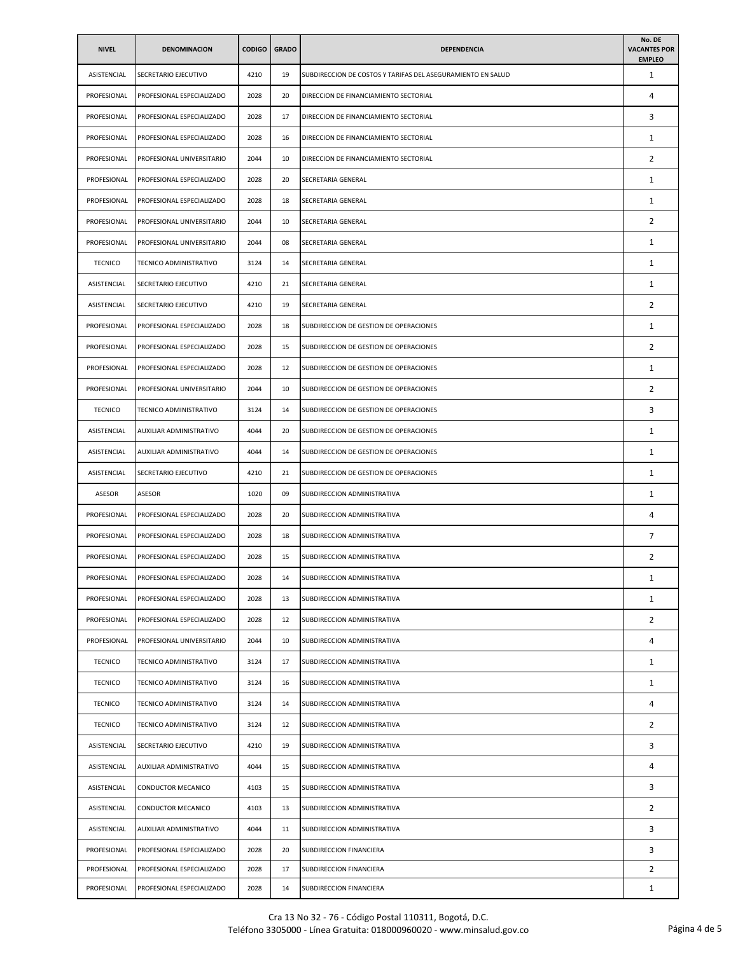| <b>NIVEL</b>   | <b>DENOMINACION</b>       | <b>CODIGO</b> | <b>GRADO</b> | <b>DEPENDENCIA</b>                                          | No. DE<br><b>VACANTES POR</b><br><b>EMPLEO</b> |
|----------------|---------------------------|---------------|--------------|-------------------------------------------------------------|------------------------------------------------|
| ASISTENCIAL    | SECRETARIO EJECUTIVO      | 4210          | 19           | SUBDIRECCION DE COSTOS Y TARIFAS DEL ASEGURAMIENTO EN SALUD | 1                                              |
| PROFESIONAL    | PROFESIONAL ESPECIALIZADO | 2028          | 20           | DIRECCION DE FINANCIAMIENTO SECTORIAL                       | 4                                              |
| PROFESIONAL    | PROFESIONAL ESPECIALIZADO | 2028          | 17           | DIRECCION DE FINANCIAMIENTO SECTORIAL                       | 3                                              |
| PROFESIONAL    | PROFESIONAL ESPECIALIZADO | 2028          | 16           | DIRECCION DE FINANCIAMIENTO SECTORIAL                       | 1                                              |
| PROFESIONAL    | PROFESIONAL UNIVERSITARIO | 2044          | 10           | DIRECCION DE FINANCIAMIENTO SECTORIAL                       | 2                                              |
| PROFESIONAL    | PROFESIONAL ESPECIALIZADO | 2028          | 20           | SECRETARIA GENERAL                                          | 1                                              |
| PROFESIONAL    | PROFESIONAL ESPECIALIZADO | 2028          | 18           | SECRETARIA GENERAL                                          | $\mathbf{1}$                                   |
| PROFESIONAL    | PROFESIONAL UNIVERSITARIO | 2044          | 10           | SECRETARIA GENERAL                                          | $\overline{2}$                                 |
| PROFESIONAL    | PROFESIONAL UNIVERSITARIO | 2044          | 08           | SECRETARIA GENERAL                                          | 1                                              |
| <b>TECNICO</b> | TECNICO ADMINISTRATIVO    | 3124          | 14           | SECRETARIA GENERAL                                          | $\mathbf{1}$                                   |
| ASISTENCIAL    | SECRETARIO EJECUTIVO      | 4210          | 21           | SECRETARIA GENERAL                                          | 1                                              |
| ASISTENCIAL    | SECRETARIO EJECUTIVO      | 4210          | 19           | SECRETARIA GENERAL                                          | $\overline{2}$                                 |
| PROFESIONAL    | PROFESIONAL ESPECIALIZADO | 2028          | 18           | SUBDIRECCION DE GESTION DE OPERACIONES                      | 1                                              |
| PROFESIONAL    | PROFESIONAL ESPECIALIZADO | 2028          | 15           | SUBDIRECCION DE GESTION DE OPERACIONES                      | 2                                              |
| PROFESIONAL    | PROFESIONAL ESPECIALIZADO | 2028          | 12           | SUBDIRECCION DE GESTION DE OPERACIONES                      | $\mathbf{1}$                                   |
| PROFESIONAL    | PROFESIONAL UNIVERSITARIO | 2044          | 10           | SUBDIRECCION DE GESTION DE OPERACIONES                      | 2                                              |
| <b>TECNICO</b> | TECNICO ADMINISTRATIVO    | 3124          | 14           | SUBDIRECCION DE GESTION DE OPERACIONES                      | 3                                              |
| ASISTENCIAL    | AUXILIAR ADMINISTRATIVO   | 4044          | 20           | SUBDIRECCION DE GESTION DE OPERACIONES                      | 1                                              |
| ASISTENCIAL    | AUXILIAR ADMINISTRATIVO   | 4044          | 14           | SUBDIRECCION DE GESTION DE OPERACIONES                      | 1                                              |
| ASISTENCIAL    | SECRETARIO EJECUTIVO      | 4210          | 21           | SUBDIRECCION DE GESTION DE OPERACIONES                      | $\mathbf{1}$                                   |
| ASESOR         | <b>ASESOR</b>             | 1020          | 09           | SUBDIRECCION ADMINISTRATIVA                                 | 1                                              |
| PROFESIONAL    | PROFESIONAL ESPECIALIZADO | 2028          | 20           | SUBDIRECCION ADMINISTRATIVA                                 | 4                                              |
| PROFESIONAL    | PROFESIONAL ESPECIALIZADO | 2028          | 18           | SUBDIRECCION ADMINISTRATIVA                                 | 7                                              |
| PROFESIONAL    | PROFESIONAL ESPECIALIZADO | 2028          | 15           | SUBDIRECCION ADMINISTRATIVA                                 | $\overline{2}$                                 |
| PROFESIONAL    | PROFESIONAL ESPECIALIZADO | 2028          | 14           | SUBDIRECCION ADMINISTRATIVA                                 | 1                                              |
| PROFESIONAL    | PROFESIONAL ESPECIALIZADO | 2028          | 13           | SUBDIRECCION ADMINISTRATIVA                                 | $\mathbf{1}$                                   |
| PROFESIONAL    | PROFESIONAL ESPECIALIZADO | 2028          | 12           | SUBDIRECCION ADMINISTRATIVA                                 | $\overline{2}$                                 |
| PROFESIONAL    | PROFESIONAL UNIVERSITARIO | 2044          | 10           | SUBDIRECCION ADMINISTRATIVA                                 | 4                                              |
| <b>TECNICO</b> | TECNICO ADMINISTRATIVO    | 3124          | 17           | SUBDIRECCION ADMINISTRATIVA                                 | $\mathbf{1}$                                   |
| <b>TECNICO</b> | TECNICO ADMINISTRATIVO    | 3124          | 16           | SUBDIRECCION ADMINISTRATIVA                                 | $\mathbf{1}$                                   |
| <b>TECNICO</b> | TECNICO ADMINISTRATIVO    | 3124          | 14           | SUBDIRECCION ADMINISTRATIVA                                 | 4                                              |
| <b>TECNICO</b> | TECNICO ADMINISTRATIVO    | 3124          | 12           | SUBDIRECCION ADMINISTRATIVA                                 | $\overline{2}$                                 |
| ASISTENCIAL    | SECRETARIO EJECUTIVO      | 4210          | 19           | SUBDIRECCION ADMINISTRATIVA                                 | 3                                              |
| ASISTENCIAL    | AUXILIAR ADMINISTRATIVO   | 4044          | 15           | SUBDIRECCION ADMINISTRATIVA                                 | 4                                              |
| ASISTENCIAL    | CONDUCTOR MECANICO        | 4103          | 15           | SUBDIRECCION ADMINISTRATIVA                                 | 3                                              |
| ASISTENCIAL    | CONDUCTOR MECANICO        | 4103          | 13           | SUBDIRECCION ADMINISTRATIVA                                 | $\overline{2}$                                 |
| ASISTENCIAL    | AUXILIAR ADMINISTRATIVO   | 4044          | 11           | SUBDIRECCION ADMINISTRATIVA                                 | 3                                              |
| PROFESIONAL    | PROFESIONAL ESPECIALIZADO | 2028          | 20           | SUBDIRECCION FINANCIERA                                     | 3                                              |
| PROFESIONAL    | PROFESIONAL ESPECIALIZADO | 2028          | 17           | SUBDIRECCION FINANCIERA                                     | $\overline{2}$                                 |
| PROFESIONAL    | PROFESIONAL ESPECIALIZADO | 2028          | 14           | SUBDIRECCION FINANCIERA                                     | $\mathbf{1}$                                   |